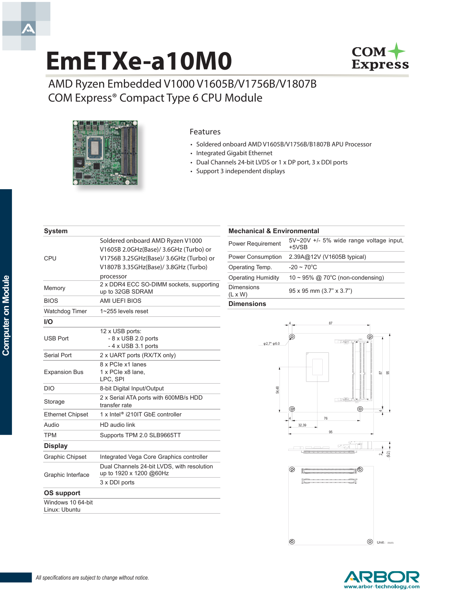# **EmETXe-a10M0**



AMD Ryzen Embedded V1000 V1605B/V1756B/V1807B COM Express® Compact Type 6 CPU Module



#### Features

- • Soldered onboard AMD V1605B/V1756B/B1807B APU Processor
- • Integrated Gigabit Ethernet
- • Dual Channels 24-bit LVDS or 1 x DP port, 3 x DDI ports
- • Support 3 independent displays

| <b>System</b>           |                                                                       |
|-------------------------|-----------------------------------------------------------------------|
|                         | Soldered onboard AMD Ryzen V1000                                      |
|                         | V1605B 2.0GHz(Base)/ 3.6GHz (Turbo) or                                |
| CPU                     | V1756B 3.25GHz(Base)/ 3.6GHz (Turbo) or                               |
|                         | V1807B 3.35GHz(Base)/ 3.8GHz (Turbo)                                  |
|                         | processor                                                             |
| Memory                  | 2 x DDR4 ECC SO-DIMM sockets, supporting<br>up to 32GB SDRAM          |
| <b>BIOS</b>             | AMI UEFI BIOS                                                         |
| Watchdog Timer          | 1~255 levels reset                                                    |
| I/O                     |                                                                       |
|                         | 12 x USB ports:                                                       |
| <b>USB Port</b>         | $-8 \times$ USB 2.0 ports                                             |
|                         | $-4 \times$ USB 3.1 ports                                             |
| Serial Port             | 2 x UART ports (RX/TX only)                                           |
|                         | 8 x PCIe x1 lanes                                                     |
| <b>Expansion Bus</b>    | 1 x PCIe x8 lane,<br>LPC, SPI                                         |
| <b>DIO</b>              | 8-bit Digital Input/Output                                            |
| Storage                 | 2 x Serial ATA ports with 600MB/s HDD<br>transfer rate                |
| <b>Ethernet Chipset</b> | 1 x Intel <sup>®</sup> i210IT GbE controller                          |
| Audio                   | HD audio link                                                         |
| <b>TPM</b>              | Supports TPM 2.0 SLB9665TT                                            |
| <b>Display</b>          |                                                                       |
| <b>Graphic Chipset</b>  | Integrated Vega Core Graphics controller                              |
| Graphic Interface       | Dual Channels 24-bit LVDS, with resolution<br>up to 1920 x 1200 @60Hz |
|                         | 3 x DDI ports                                                         |
| OS support              |                                                                       |
| Windows 10 64-bit       |                                                                       |
| Linux: Ubuntu           |                                                                       |

#### **Mechanical & Environmental** Power Requirement 5V~20V +/- 5% wide range voltage input, +5VSB Power Consumption 2.39A@12V (V1605B typical) Operating Temp.  $-20 \sim 70^{\circ}$ C **Operating Humidity**  $10 \sim 95\%$  @ 70°C (non-condensing) Dimensions<br> $(L \times W)$ 95 x 95 mm (3.7" x 3.7") **Dimensions**



A